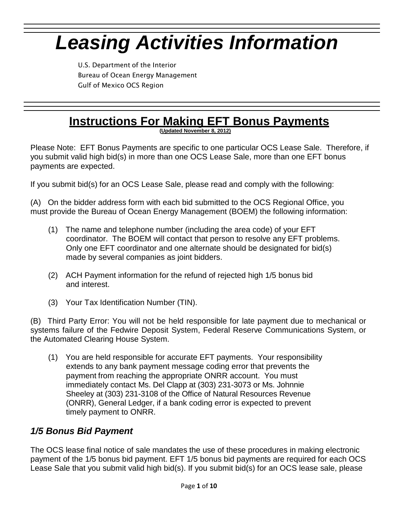# *Leasing Activities Information*

U.S. Department of the Interior Bureau of Ocean Energy Management Gulf of Mexico OCS Region

# **Instructions For Making EFT Bonus Payments**

**(Updated November 8, 2012)**

Please Note: EFT Bonus Payments are specific to one particular OCS Lease Sale. Therefore, if you submit valid high bid(s) in more than one OCS Lease Sale, more than one EFT bonus payments are expected.

If you submit bid(s) for an OCS Lease Sale, please read and comply with the following:

(A) On the bidder address form with each bid submitted to the OCS Regional Office, you must provide the Bureau of Ocean Energy Management (BOEM) the following information:

- (1) The name and telephone number (including the area code) of your EFT coordinator. The BOEM will contact that person to resolve any EFT problems. Only one EFT coordinator and one alternate should be designated for bid(s) made by several companies as joint bidders.
- (2) ACH Payment information for the refund of rejected high 1/5 bonus bid and interest.
- (3) Your Tax Identification Number (TIN).

(B) Third Party Error: You will not be held responsible for late payment due to mechanical or systems failure of the Fedwire Deposit System, Federal Reserve Communications System, or the Automated Clearing House System.

(1) You are held responsible for accurate EFT payments. Your responsibility extends to any bank payment message coding error that prevents the payment from reaching the appropriate ONRR account. You must immediately contact Ms. Del Clapp at (303) 231-3073 or Ms. Johnnie Sheeley at (303) 231-3108 of the Office of Natural Resources Revenue (ONRR), General Ledger, if a bank coding error is expected to prevent timely payment to ONRR.

# *1/5 Bonus Bid Payment*

The OCS lease final notice of sale mandates the use of these procedures in making electronic payment of the 1/5 bonus bid payment. EFT 1/5 bonus bid payments are required for each OCS Lease Sale that you submit valid high bid(s). If you submit bid(s) for an OCS lease sale, please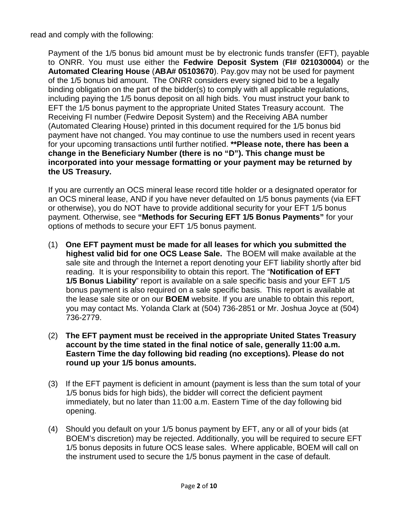read and comply with the following:

Payment of the 1/5 bonus bid amount must be by electronic funds transfer (EFT), payable to ONRR. You must use either the **Fedwire Deposit System** (**FI# 021030004**) or the **Automated Clearing House** (**ABA# 05103670**). Pay.gov may not be used for payment of the 1/5 bonus bid amount. The ONRR considers every signed bid to be a legally binding obligation on the part of the bidder(s) to comply with all applicable regulations, including paying the 1/5 bonus deposit on all high bids. You must instruct your bank to EFT the 1/5 bonus payment to the appropriate United States Treasury account. The Receiving FI number (Fedwire Deposit System) and the Receiving ABA number (Automated Clearing House) printed in this document required for the 1/5 bonus bid payment have not changed. You may continue to use the numbers used in recent years for your upcoming transactions until further notified. **\*\*Please note, there has been a change in the Beneficiary Number (there is no "D"). This change must be incorporated into your message formatting or your payment may be returned by the US Treasury.**

If you are currently an OCS mineral lease record title holder or a designated operator for an OCS mineral lease, AND if you have never defaulted on 1/5 bonus payments (via EFT or otherwise), you do NOT have to provide additional security for your EFT 1/5 bonus payment. Otherwise, see **"Methods for Securing EFT 1/5 Bonus Payments"** for your options of methods to secure your EFT 1/5 bonus payment.

- (1) **One EFT payment must be made for all leases for which you submitted the highest valid bid for one OCS Lease Sale.** The BOEM will make available at the sale site and through the Internet a report denoting your EFT liability shortly after bid reading. It is your responsibility to obtain this report. The "**Notification of EFT 1/5 Bonus Liability**" report is available on a sale specific basis and your EFT 1/5 bonus payment is also required on a sale specific basis. This report is available at the lease sale site or on our **BOEM** website. If you are unable to obtain this report, you may contact Ms. Yolanda Clark at (504) 736-2851 or Mr. Joshua Joyce at (504) 736-2779.
- (2) **The EFT payment must be received in the appropriate United States Treasury account by the time stated in the final notice of sale, generally 11:00 a.m. Eastern Time the day following bid reading (no exceptions). Please do not round up your 1/5 bonus amounts.**
- (3) If the EFT payment is deficient in amount (payment is less than the sum total of your 1/5 bonus bids for high bids), the bidder will correct the deficient payment immediately, but no later than 11:00 a.m. Eastern Time of the day following bid opening.
- (4) Should you default on your 1/5 bonus payment by EFT, any or all of your bids (at BOEM's discretion) may be rejected. Additionally, you will be required to secure EFT 1/5 bonus deposits in future OCS lease sales. Where applicable, BOEM will call on the instrument used to secure the 1/5 bonus payment in the case of default.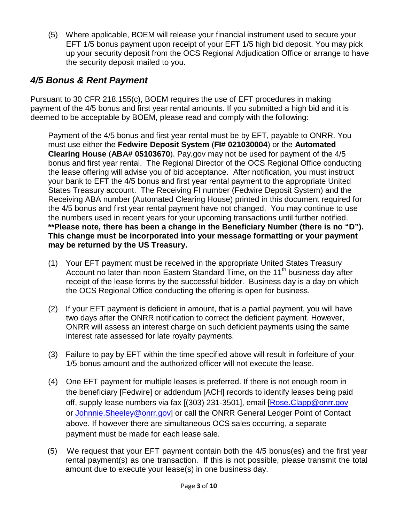(5) Where applicable, BOEM will release your financial instrument used to secure your EFT 1/5 bonus payment upon receipt of your EFT 1/5 high bid deposit. You may pick up your security deposit from the OCS Regional Adjudication Office or arrange to have the security deposit mailed to you.

# *4/5 Bonus & Rent Payment*

Pursuant to 30 CFR 218.155(c), BOEM requires the use of EFT procedures in making payment of the 4/5 bonus and first year rental amounts. If you submitted a high bid and it is deemed to be acceptable by BOEM, please read and comply with the following:

Payment of the 4/5 bonus and first year rental must be by EFT, payable to ONRR. You must use either the **Fedwire Deposit System** (**FI# 021030004**) or the **Automated Clearing House** (**ABA# 05103670**). Pay.gov may not be used for payment of the 4/5 bonus and first year rental. The Regional Director of the OCS Regional Office conducting the lease offering will advise you of bid acceptance. After notification, you must instruct your bank to EFT the 4/5 bonus and first year rental payment to the appropriate United States Treasury account. The Receiving FI number (Fedwire Deposit System) and the Receiving ABA number (Automated Clearing House) printed in this document required for the 4/5 bonus and first year rental payment have not changed. You may continue to use the numbers used in recent years for your upcoming transactions until further notified. **\*\*Please note, there has been a change in the Beneficiary Number (there is no "D"). This change must be incorporated into your message formatting or your payment may be returned by the US Treasury.**

- (1) Your EFT payment must be received in the appropriate United States Treasury Account no later than noon Eastern Standard Time, on the 11<sup>th</sup> business day after receipt of the lease forms by the successful bidder. Business day is a day on which the OCS Regional Office conducting the offering is open for business.
- (2) If your EFT payment is deficient in amount, that is a partial payment, you will have two days after the ONRR notification to correct the deficient payment. However, ONRR will assess an interest charge on such deficient payments using the same interest rate assessed for late royalty payments.
- (3) Failure to pay by EFT within the time specified above will result in forfeiture of your 1/5 bonus amount and the authorized officer will not execute the lease.
- (4) One EFT payment for multiple leases is preferred. If there is not enough room in the beneficiary [Fedwire] or addendum [ACH] records to identify leases being paid off, supply lease numbers via fax [(303) 231-3501], email [\[Rose.Clapp@onrr.gov](mailto:Rose.Clapp@onrr.gov) or Johnnie. Sheeley@onrr.gov] or call the ONRR General Ledger Point of Contact above. If however there are simultaneous OCS sales occurring, a separate payment must be made for each lease sale.
- (5) We request that your EFT payment contain both the 4/5 bonus(es) and the first year rental payment(s) as one transaction. If this is not possible, please transmit the total amount due to execute your lease(s) in one business day.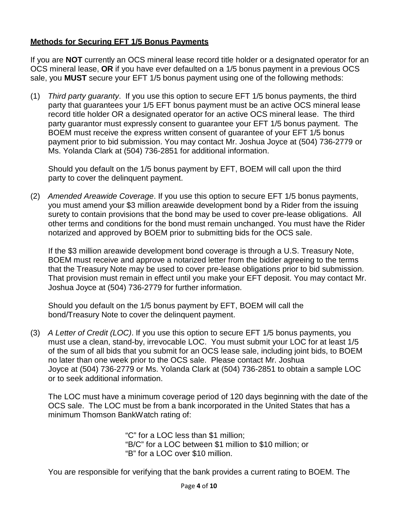#### **Methods for Securing EFT 1/5 Bonus Payments**

If you are **NOT** currently an OCS mineral lease record title holder or a designated operator for an OCS mineral lease, **OR** if you have ever defaulted on a 1/5 bonus payment in a previous OCS sale, you **MUST** secure your EFT 1/5 bonus payment using one of the following methods:

(1) *Third party guaranty*. If you use this option to secure EFT 1/5 bonus payments, the third party that guarantees your 1/5 EFT bonus payment must be an active OCS mineral lease record title holder OR a designated operator for an active OCS mineral lease. The third party guarantor must expressly consent to guarantee your EFT 1/5 bonus payment. The BOEM must receive the express written consent of guarantee of your EFT 1/5 bonus payment prior to bid submission. You may contact Mr. Joshua Joyce at (504) 736-2779 or Ms. Yolanda Clark at (504) 736-2851 for additional information.

Should you default on the 1/5 bonus payment by EFT, BOEM will call upon the third party to cover the delinquent payment.

(2) *Amended Areawide Coverage*. If you use this option to secure EFT 1/5 bonus payments, you must amend your \$3 million areawide development bond by a Rider from the issuing surety to contain provisions that the bond may be used to cover pre-lease obligations. All other terms and conditions for the bond must remain unchanged. You must have the Rider notarized and approved by BOEM prior to submitting bids for the OCS sale.

If the \$3 million areawide development bond coverage is through a U.S. Treasury Note, BOEM must receive and approve a notarized letter from the bidder agreeing to the terms that the Treasury Note may be used to cover pre-lease obligations prior to bid submission. That provision must remain in effect until you make your EFT deposit. You may contact Mr. Joshua Joyce at (504) 736-2779 for further information.

Should you default on the 1/5 bonus payment by EFT, BOEM will call the bond/Treasury Note to cover the delinquent payment.

(3) *A Letter of Credit (LOC)*. If you use this option to secure EFT 1/5 bonus payments, you must use a clean, stand-by, irrevocable LOC. You must submit your LOC for at least 1/5 of the sum of all bids that you submit for an OCS lease sale, including joint bids, to BOEM no later than one week prior to the OCS sale. Please contact Mr. Joshua Joyce at (504) 736-2779 or Ms. Yolanda Clark at (504) 736-2851 to obtain a sample LOC or to seek additional information.

The LOC must have a minimum coverage period of 120 days beginning with the date of the OCS sale. The LOC must be from a bank incorporated in the United States that has a minimum Thomson BankWatch rating of:

> "C" for a LOC less than \$1 million; "B/C" for a LOC between \$1 million to \$10 million; or "B" for a LOC over \$10 million.

You are responsible for verifying that the bank provides a current rating to BOEM. The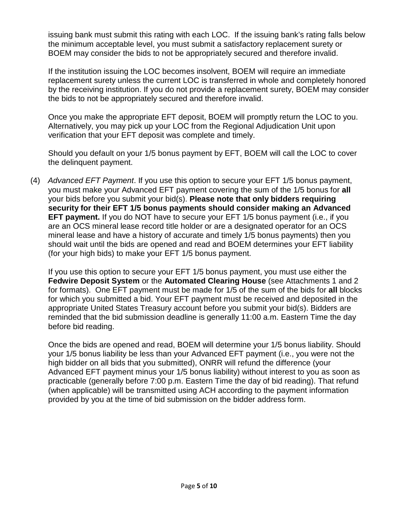issuing bank must submit this rating with each LOC. If the issuing bank's rating falls below the minimum acceptable level, you must submit a satisfactory replacement surety or BOEM may consider the bids to not be appropriately secured and therefore invalid.

If the institution issuing the LOC becomes insolvent, BOEM will require an immediate replacement surety unless the current LOC is transferred in whole and completely honored by the receiving institution. If you do not provide a replacement surety, BOEM may consider the bids to not be appropriately secured and therefore invalid.

Once you make the appropriate EFT deposit, BOEM will promptly return the LOC to you. Alternatively, you may pick up your LOC from the Regional Adjudication Unit upon verification that your EFT deposit was complete and timely.

Should you default on your 1/5 bonus payment by EFT, BOEM will call the LOC to cover the delinquent payment.

(4) *Advanced EFT Payment*. If you use this option to secure your EFT 1/5 bonus payment, you must make your Advanced EFT payment covering the sum of the 1/5 bonus for **all**  your bids before you submit your bid(s). **Please note that only bidders requiring security for their EFT 1/5 bonus payments should consider making an Advanced EFT payment.** If you do NOT have to secure your EFT 1/5 bonus payment (i.e., if you are an OCS mineral lease record title holder or are a designated operator for an OCS mineral lease and have a history of accurate and timely 1/5 bonus payments) then you should wait until the bids are opened and read and BOEM determines your EFT liability (for your high bids) to make your EFT 1/5 bonus payment.

If you use this option to secure your EFT 1/5 bonus payment, you must use either the **Fedwire Deposit System** or the **Automated Clearing House** (see Attachments 1 and 2 for formats). One EFT payment must be made for 1/5 of the sum of the bids for **all** blocks for which you submitted a bid. Your EFT payment must be received and deposited in the appropriate United States Treasury account before you submit your bid(s). Bidders are reminded that the bid submission deadline is generally 11:00 a.m. Eastern Time the day before bid reading.

Once the bids are opened and read, BOEM will determine your 1/5 bonus liability. Should your 1/5 bonus liability be less than your Advanced EFT payment (i.e., you were not the high bidder on all bids that you submitted), ONRR will refund the difference (your Advanced EFT payment minus your 1/5 bonus liability) without interest to you as soon as practicable (generally before 7:00 p.m. Eastern Time the day of bid reading). That refund (when applicable) will be transmitted using ACH according to the payment information provided by you at the time of bid submission on the bidder address form.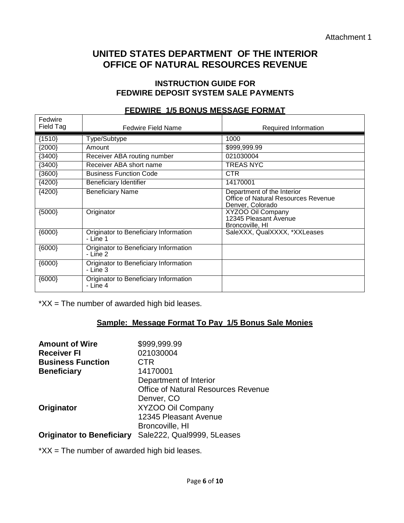# **UNITED STATES DEPARTMENT OF THE INTERIOR OFFICE OF NATURAL RESOURCES REVENUE**

#### **INSTRUCTION GUIDE FOR FEDWIRE DEPOSIT SYSTEM SALE PAYMENTS**

| Fedwire<br>Field Tag | <b>Fedwire Field Name</b>                         | Required Information                                                                  |
|----------------------|---------------------------------------------------|---------------------------------------------------------------------------------------|
| ${1510}$             | Type/Subtype                                      | 1000                                                                                  |
| ${2000}$             | Amount                                            | \$999,999.99                                                                          |
| ${3400}$             | Receiver ABA routing number                       | 021030004                                                                             |
| (3400)               | Receiver ABA short name                           | <b>TREAS NYC</b>                                                                      |
| (3600)               | <b>Business Function Code</b>                     | <b>CTR</b>                                                                            |
| ${4200}$             | Beneficiary Identifier                            | 14170001                                                                              |
| ${4200}$             | <b>Beneficiary Name</b>                           | Department of the Interior<br>Office of Natural Resources Revenue<br>Denver, Colorado |
| ${5000}$             | Originator                                        | XYZOO Oil Company<br>12345 Pleasant Avenue<br>Broncoville, HI                         |
| ${6000}$             | Originator to Beneficiary Information<br>- Line 1 | SaleXXX, QualXXXX, *XXLeases                                                          |
| ${6000}$             | Originator to Beneficiary Information<br>- Line 2 |                                                                                       |
| ${6000}$             | Originator to Beneficiary Information<br>- Line 3 |                                                                                       |
| ${6000}$             | Originator to Beneficiary Information<br>- Line 4 |                                                                                       |

#### **FEDWIRE 1/5 BONUS MESSAGE FORMAT**

 $*XX$  = The number of awarded high bid leases.

# **Sample: Message Format To Pay 1/5 Bonus Sale Monies**

| <b>Amount of Wire</b>            | \$999,999.99                               |
|----------------------------------|--------------------------------------------|
| <b>Receiver FI</b>               | 021030004                                  |
| <b>Business Function</b>         | CTR                                        |
| <b>Beneficiary</b>               | 14170001                                   |
|                                  | Department of Interior                     |
|                                  | <b>Office of Natural Resources Revenue</b> |
|                                  | Denver, CO                                 |
| Originator                       | XYZOO Oil Company                          |
|                                  | 12345 Pleasant Avenue                      |
|                                  | Broncoville, HI                            |
| <b>Originator to Beneficiary</b> | Sale222, Qual9999, 5Leases                 |

 $*XX$  = The number of awarded high bid leases.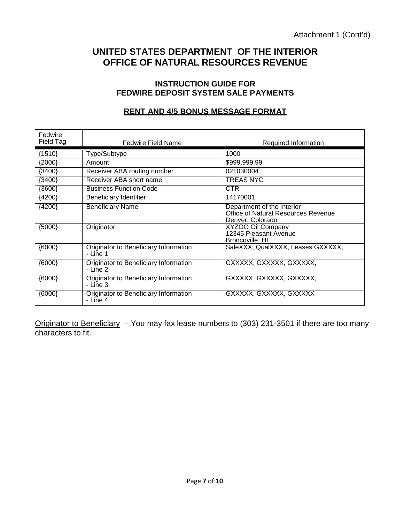# **UNITED STATES DEPARTMENT OF THE INTERIOR OFFICE OF NATURAL RESOURCES REVENUE**

#### **INSTRUCTION GUIDE FOR FEDWIRE DEPOSIT SYSTEM SALE PAYMENTS**

# **RENT AND 4/5 BONUS MESSAGE FORMAT**

| Fedwire<br>Field Tag | <b>Fedwire Field Name</b>                           | Required Information                                                                  |
|----------------------|-----------------------------------------------------|---------------------------------------------------------------------------------------|
| ${1510}$             | Type/Subtype                                        | 1000                                                                                  |
| ${2000}$             | Amount                                              | \$999,999.99                                                                          |
| ${3400}$             | Receiver ABA routing number                         | 021030004                                                                             |
| ${3400}$             | Receiver ABA short name                             | TREAS NYC                                                                             |
| ${3600}$             | <b>Business Function Code</b>                       | <b>CTR</b>                                                                            |
| ${4200}$             | Beneficiary Identifier                              | 14170001                                                                              |
| ${4200}$             | <b>Beneficiary Name</b>                             | Department of the Interior<br>Office of Natural Resources Revenue<br>Denver, Colorado |
| ${5000}$             | Originator                                          | XYZOO Oil Company<br>12345 Pleasant Avenue<br>Broncoville, HI                         |
| (6000)               | Originator to Beneficiary Information<br>$-$ Line 1 | SaleXXX, QualXXXX, Leases GXXXXX,                                                     |
| ${6000}$             | Originator to Beneficiary Information<br>$-$ Line 2 | GXXXXX, GXXXXX, GXXXXX,                                                               |
| ${6000}$             | Originator to Beneficiary Information<br>- Line 3   | GXXXXX, GXXXXX, GXXXXX,                                                               |
| ${6000}$             | Originator to Beneficiary Information<br>- Line 4   | GXXXXX, GXXXXX, GXXXXX                                                                |

Originator to Beneficiary - You may fax lease numbers to (303) 231-3501 if there are too many characters to fit.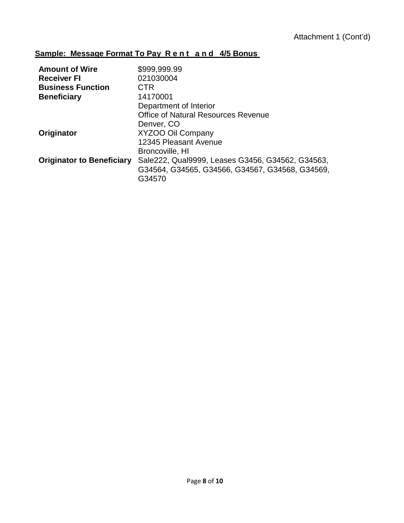# **Sample: Message Format To Pay Rent and 4/5 Bonus**

| <b>Amount of Wire</b>            | \$999,999.99                                     |
|----------------------------------|--------------------------------------------------|
| <b>Receiver FI</b>               | 021030004                                        |
| <b>Business Function</b>         | <b>CTR</b>                                       |
| <b>Beneficiary</b>               | 14170001                                         |
|                                  | Department of Interior                           |
|                                  | <b>Office of Natural Resources Revenue</b>       |
|                                  | Denver, CO                                       |
| Originator                       | <b>XYZOO Oil Company</b>                         |
|                                  | 12345 Pleasant Avenue                            |
|                                  | Broncoville, HI                                  |
| <b>Originator to Beneficiary</b> | Sale222, Qual9999, Leases G3456, G34562, G34563, |
|                                  | G34564, G34565, G34566, G34567, G34568, G34569,  |
|                                  | G34570                                           |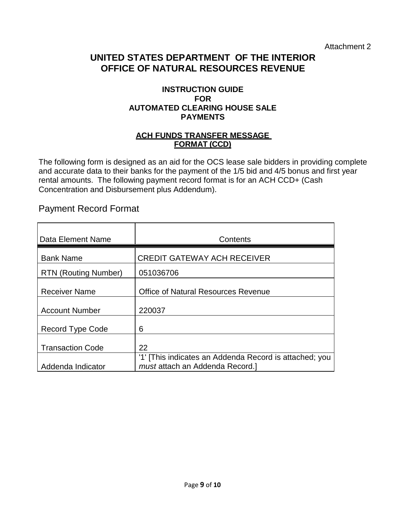Attachment 2

# **UNITED STATES DEPARTMENT OF THE INTERIOR OFFICE OF NATURAL RESOURCES REVENUE**

#### **INSTRUCTION GUIDE FOR AUTOMATED CLEARING HOUSE SALE PAYMENTS**

#### **ACH FUNDS TRANSFER MESSAGE FORMAT (CCD)**

The following form is designed as an aid for the OCS lease sale bidders in providing complete and accurate data to their banks for the payment of the 1/5 bid and 4/5 bonus and first year rental amounts. The following payment record format is for an ACH CCD+ (Cash Concentration and Disbursement plus Addendum).

# Payment Record Format

| Data Element Name           | Contents                                                                                  |
|-----------------------------|-------------------------------------------------------------------------------------------|
| <b>Bank Name</b>            | <b>CREDIT GATEWAY ACH RECEIVER</b>                                                        |
| <b>RTN (Routing Number)</b> | 051036706                                                                                 |
| <b>Receiver Name</b>        | <b>Office of Natural Resources Revenue</b>                                                |
| <b>Account Number</b>       | 220037                                                                                    |
| Record Type Code            | 6                                                                                         |
| <b>Transaction Code</b>     | 22                                                                                        |
| Addenda Indicator           | '1' [This indicates an Addenda Record is attached; you<br>must attach an Addenda Record.] |